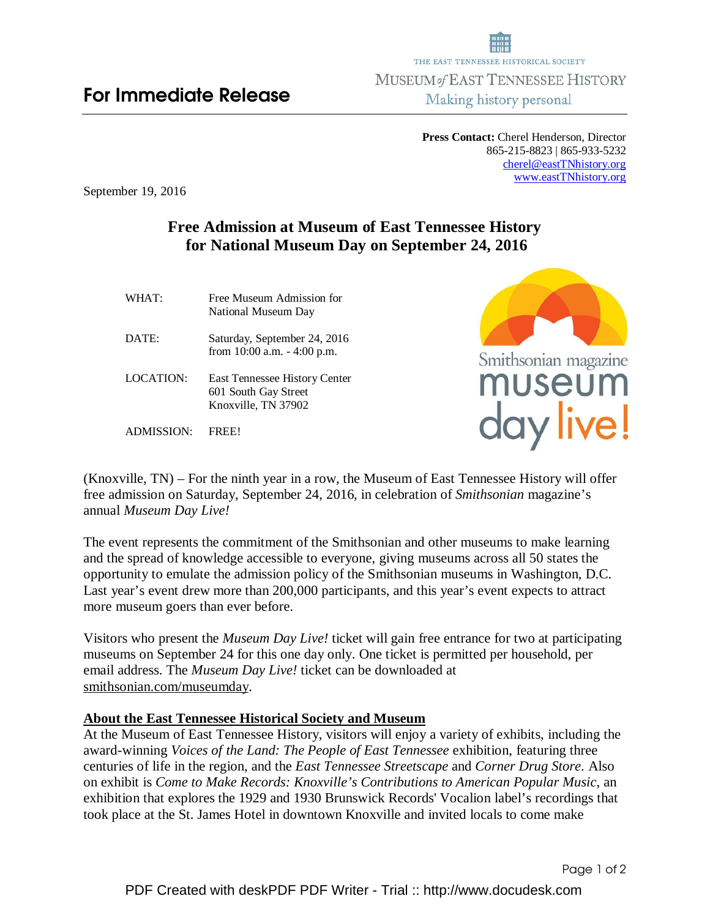**Press Contact:** Cherel Henderson, Director 865-215-8823 | 865-933-5232 cherel@eastTNhistory.org www.eastTNhistory.org

September 19, 2016

## **Free Admission at Museum of East Tennessee History for National Museum Day on September 24, 2016**

| WHAT:            | Free Museum Admission for<br>National Museum Day               |
|------------------|----------------------------------------------------------------|
| DATE:            | Saturday, September 24, 2016<br>from $10:00$ a.m. $-4:00$ p.m. |
| <b>LOCATION:</b> | East Tennessee History Center<br>$601$ Routh Cay Rtroot        |

 601 South Gay Street Knoxville, TN 37902

ADMISSION: FREE!



(Knoxville, TN) – For the ninth year in a row, the Museum of East Tennessee History will offer free admission on Saturday, September 24, 2016, in celebration of *Smithsonian* magazine's annual *Museum Day Live!* 

The event represents the commitment of the Smithsonian and other museums to make learning and the spread of knowledge accessible to everyone, giving museums across all 50 states the opportunity to emulate the admission policy of the Smithsonian museums in Washington, D.C. Last year's event drew more than 200,000 participants, and this year's event expects to attract more museum goers than ever before.

Visitors who present the *Museum Day Live!* ticket will gain free entrance for two at participating museums on September 24 for this one day only. One ticket is permitted per household, per email address. The *Museum Day Live!* ticket can be downloaded at smithsonian.com/museumday.

## **About the East Tennessee Historical Society and Museum**

At the Museum of East Tennessee History, visitors will enjoy a variety of exhibits, including the award-winning *Voices of the Land: The People of East Tennessee* exhibition, featuring three centuries of life in the region, and the *East Tennessee Streetscape* and *Corner Drug Store*. Also on exhibit is *Come to Make Records: Knoxville's Contributions to American Popular Music*, an exhibition that explores the 1929 and 1930 Brunswick Records' Vocalion label's recordings that took place at the St. James Hotel in downtown Knoxville and invited locals to come make